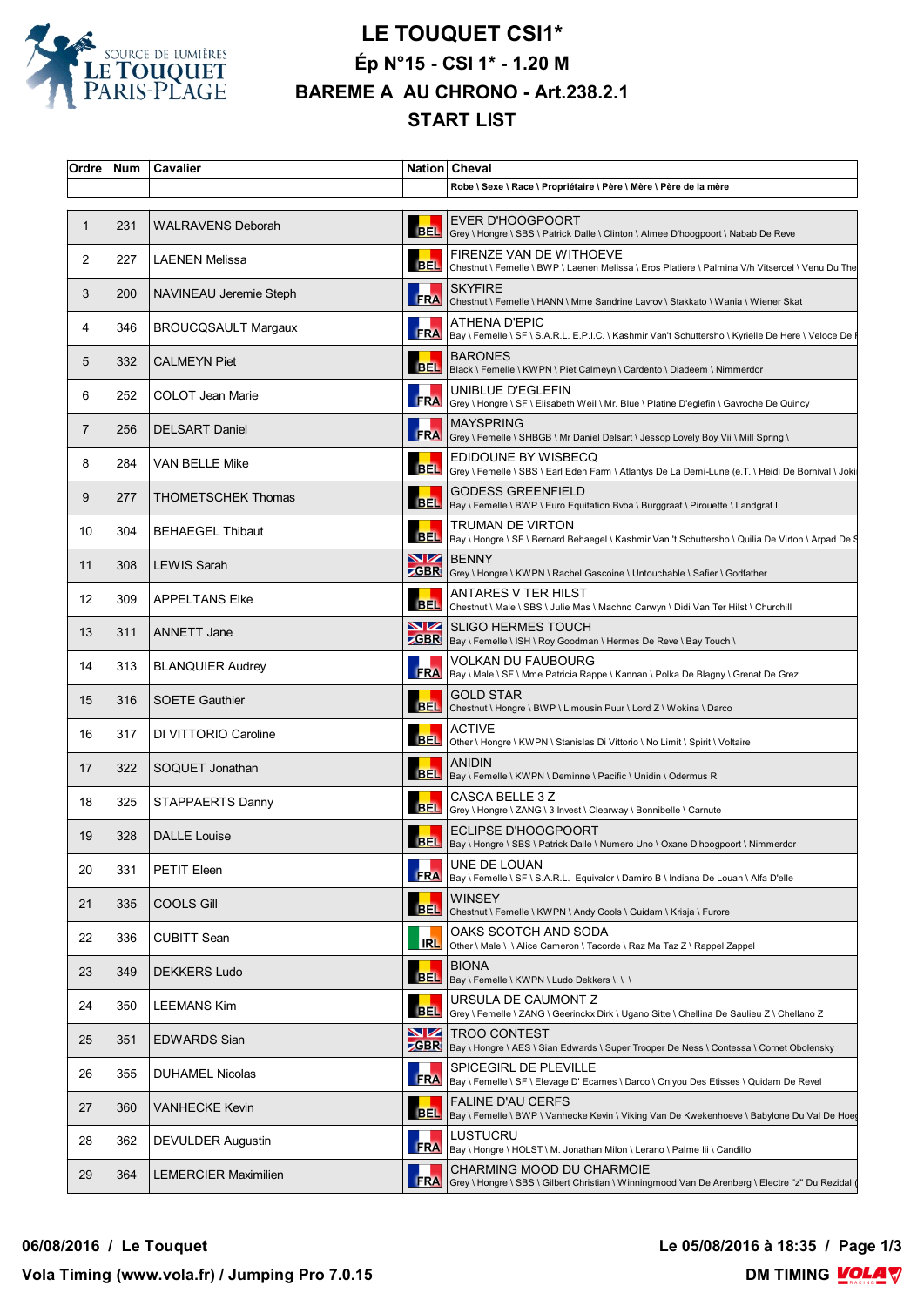

## **LE TOUQUET CSI1\* Ép N°15 - CSI 1\* - 1.20 M BAREME A AU CHRONO - Art.238.2.1 START LIST**

| Ordre | Num | Cavalier                    |            | Nation Cheval                                                                                                                  |
|-------|-----|-----------------------------|------------|--------------------------------------------------------------------------------------------------------------------------------|
|       |     |                             |            | Robe \ Sexe \ Race \ Propriétaire \ Père \ Mère \ Père de la mère                                                              |
| 1     | 231 | <b>WALRAVENS Deborah</b>    | BEL        | EVER D'HOOGPOORT<br>Grey \ Hongre \ SBS \ Patrick Dalle \ Clinton \ Almee D'hoogpoort \ Nabab De Reve                          |
| 2     | 227 | LAENEN Melissa              |            | FIRENZE VAN DE WITHOEVE<br>BEL Chestnut \ Femelle \ BWP \ Laenen Melissa \ Eros Platiere \ Palmina V/h Vitseroel \ Venu Du The |
| 3     | 200 | NAVINEAU Jeremie Steph      |            | <b>SKYFIRE</b><br>FRA Chestnut \ Femelle \ HANN \ Mme Sandrine Lavrov \ Stakkato \ Wania \ Wiener Skat                         |
| 4     | 346 | <b>BROUCQSAULT Margaux</b>  |            | ATHENA D'EPIC<br>FRA   Bay \ Femelle \ SF \ S.A.R.L. E.P.I.C. \ Kashmir Van't Schuttersho \ Kyrielle De Here \ Veloce De       |
| 5     | 332 | <b>CALMEYN Piet</b>         |            | <b>BARONES</b><br>BEL  Black \ Femelle \ KWPN \ Piet Calmeyn \ Cardento \ Diadeem \ Nimmerdor                                  |
| 6     | 252 | COLOT Jean Marie            | <b>FRA</b> | UNIBLUE D'EGLEFIN<br> Grey \ Hongre \ SF \ Elisabeth Weil \ Mr. Blue \ Platine D'eglefin \ Gavroche De Quincy                  |
| 7     | 256 | <b>DELSART Daniel</b>       |            | <b>MAYSPRING</b><br>FRA Grey \ Femelle \ SHBGB \ Mr Daniel Delsart \ Jessop Lovely Boy Vii \ Mill Spring \                     |
| 8     | 284 | <b>VAN BELLE Mike</b>       |            | EDIDOUNE BY WISBECQ<br>BEL Grey \ Femelle \ SBS \ Earl Eden Farm \ Atlantys De La Demi-Lune (e.T. \ Heidi De Bornival \ Joki   |
| 9     | 277 | <b>THOMETSCHEK Thomas</b>   |            | <b>GODESS GREENFIELD</b><br>BEL  Bay \ Femelle \ BWP \ Euro Equitation Bvba \ Burggraaf \ Pirouette \ Landgraf I               |
| 10    | 304 | <b>BEHAEGEL Thibaut</b>     |            | TRUMAN DE VIRTON<br>BEL   Bay \ Hongre \ SF \ Bernard Behaegel \ Kashmir Van 't Schuttersho \ Quilia De Virton \ Arpad De \    |
| 11    | 308 | <b>LEWIS Sarah</b>          |            | <b>NZ</b> BENNY<br><b>ZGBR</b> Grey \ Hongre \ KWPN \ Rachel Gascoine \ Untouchable \ Safier \ Godfather                       |
| 12    | 309 | <b>APPELTANS Elke</b>       |            | ANTARES V TER HILST<br>BEL Chestnut \ Male \ SBS \ Julie Mas \ Machno Carwyn \ Didi Van Ter Hilst \ Churchill                  |
| 13    | 311 | <b>ANNETT Jane</b>          | <u>NZ</u>  | <b>SLIGO HERMES TOUCH</b><br><b>CGBR</b>   Bay \ Femelle \ ISH \ Roy Goodman \ Hermes De Reve \ Bay Touch \                    |
| 14    | 313 | <b>BLANQUIER Audrey</b>     |            | VOLKAN DU FAUBOURG<br>FRA   Bay \ Male \ SF \ Mme Patricia Rappe \ Kannan \ Polka De Blagny \ Grenat De Grez                   |
| 15    | 316 | <b>SOETE Gauthier</b>       | <b>BEL</b> | <b>GOLD STAR</b><br>Chestnut \ Hongre \ BWP \ Limousin Puur \ Lord Z \ Wokina \ Darco                                          |
| 16    | 317 | DI VITTORIO Caroline        |            | <b>ACTIVE</b><br>BEL Other \ Hongre \ KWPN \ Stanislas Di Vittorio \ No Limit \ Spirit \ Voltaire                              |
| 17    | 322 | SOQUET Jonathan             |            | <b>ANIDIN</b><br>BEL   Bay \ Femelle \ KWPN \ Deminne \ Pacific \ Unidin \ Odermus R                                           |
| 18    | 325 | STAPPAERTS Danny            |            | CASCA BELLE 3 Z<br>BEL Grey \ Hongre \ ZANG \ 3 Invest \ Clearway \ Bonnibelle \ Carnute                                       |
| 19    | 328 | <b>DALLE Louise</b>         |            | <b>ECLIPSE D'HOOGPOORT</b><br>BEL  Bay \ Hongre \ SBS \ Patrick Dalle \ Numero Uno \ Oxane D'hoogpoort \ Nimmerdor             |
| 20    | 331 | PETIT Eleen                 | <b>FRA</b> | UNE DE LOUAN<br>Bay \ Femelle \ SF \ S.A.R.L. Equivalor \ Damiro B \ Indiana De Louan \ Alfa D'elle                            |
| 21    | 335 | <b>COOLS Gill</b>           | <b>BEL</b> | <b>WINSEY</b><br>Chestnut \ Femelle \ KWPN \ Andy Cools \ Guidam \ Krisja \ Furore                                             |
| 22    | 336 | <b>CUBITT Sean</b>          | <b>IRL</b> | OAKS SCOTCH AND SODA<br>Other \ Male \ \ Alice Cameron \ Tacorde \ Raz Ma Taz Z \ Rappel Zappel                                |
| 23    | 349 | <b>DEKKERS Ludo</b>         |            | <b>BIONA</b><br>BEL   Bay \ Femelle \ KWPN \ Ludo Dekkers \ \ \                                                                |
| 24    | 350 | LEEMANS Kim                 |            | URSULA DE CAUMONT Z<br>BEL Grey \ Femelle \ ZANG \ Geerinckx Dirk \ Ugano Sitte \ Chellina De Saulieu Z \ Chellano Z           |
| 25    | 351 | EDWARDS Sian                | VZ         | <b>TROO CONTEST</b><br><b>ZGBR</b>   Bay \ Hongre \ AES \ Sian Edwards \ Super Trooper De Ness \ Contessa \ Cornet Obolensky   |
| 26    | 355 | <b>DUHAMEL Nicolas</b>      |            | SPICEGIRL DE PLEVILLE<br>FRA   Bay \ Femelle \ SF \ Elevage D' Ecames \ Darco \ Onlyou Des Etisses \ Quidam De Revel           |
| 27    | 360 | VANHECKE Kevin              |            | <b>FALINE D'AU CERFS</b><br>BEL Bay \ Femelle \ BWP \ Vanhecke Kevin \ Viking Van De Kwekenhoeve \ Babylone Du Val De Hoe      |
| 28    | 362 | DEVULDER Augustin           | <b>FRA</b> | LUSTUCRU<br>Bay \ Hongre \ HOLST \ M. Jonathan Milon \ Lerano \ Palme lii \ Candillo                                           |
| 29    | 364 | <b>LEMERCIER Maximilien</b> | <b>FRA</b> | CHARMING MOOD DU CHARMOIE<br>Grey \ Hongre \ SBS \ Gilbert Christian \ Winningmood Van De Arenberg \ Electre "z" Du Rezidal    |

**06/08/2016 / Le Touquet Le 05/08/2016 à 18:35 / Page 1/3**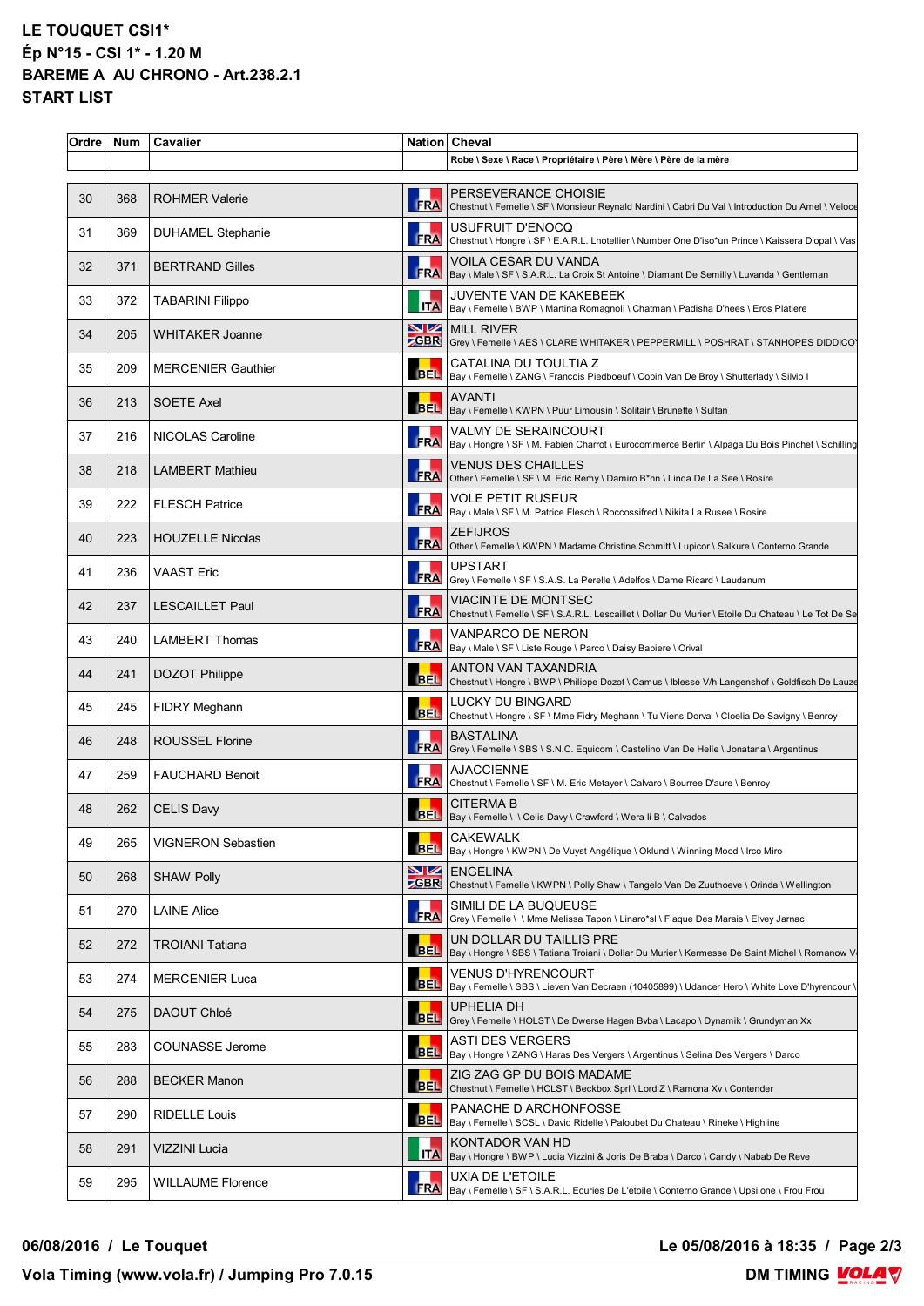## **LE TOUQUET CSI1\* Ép N°15 - CSI 1\* - 1.20 M BAREME A AU CHRONO - Art.238.2.1 START LIST**

| Ordre | <b>Num</b> | Cavalier                  |            | Nation Cheval                                                                                                                  |
|-------|------------|---------------------------|------------|--------------------------------------------------------------------------------------------------------------------------------|
|       |            |                           |            | Robe \ Sexe \ Race \ Propriétaire \ Père \ Mère \ Père de la mère                                                              |
| 30    | 368        | <b>ROHMER Valerie</b>     | <b>FRA</b> | PERSEVERANCE CHOISIE<br>Chestnut \ Femelle \ SF \ Monsieur Reynald Nardini \ Cabri Du Val \ Introduction Du Amel \ Veloce      |
| 31    | 369        | <b>DUHAMEL Stephanie</b>  | FRA        | USUFRUIT D'ENOCQ<br>Chestnut \ Hongre \ SF \ E.A.R.L. Lhotellier \ Number One D'iso*un Prince \ Kaissera D'opal \ Vas          |
| 32    | 371        | <b>BERTRAND Gilles</b>    |            | VOILA CESAR DU VANDA<br>FRA   Bay \ Male \ SF \ S.A.R.L. La Croix St Antoine \ Diamant De Semilly \ Luvanda \ Gentleman        |
| 33    | 372        | <b>TABARINI Filippo</b>   |            | <b>JUVENTE VAN DE KAKEBEEK</b><br>ITA   Bay \ Femelle \ BWP \ Martina Romagnoli \ Chatman \ Padisha D'hees \ Eros Platiere     |
| 34    | 205        | <b>WHITAKER Joanne</b>    |            | <b>NZ MILL RIVER</b><br><b>ZGBR</b> Grey \ Femelle \ AES \ CLARE WHITAKER \ PEPPERMILL \ POSHRAT \ STANHOPES DIDDICO           |
| 35    | 209        | <b>MERCENIER Gauthier</b> |            | CATALINA DU TOULTIA Z<br>BEL  Bay \ Femelle \ ZANG \ Francois Piedboeuf \ Copin Van De Broy \ Shutterlady \ Silvio I           |
| 36    | 213        | <b>SOETE Axel</b>         |            | <b>AVANTI</b><br>BEL  Bay \ Femelle \ KWPN \ Puur Limousin \ Solitair \ Brunette \ Sultan                                      |
| 37    | 216        | NICOLAS Caroline          |            | VALMY DE SERAINCOURT<br>FRA   Bay \ Hongre \ SF \ M. Fabien Charrot \ Eurocommerce Berlin \ Alpaga Du Bois Pinchet \ Schilling |
| 38    | 218        | <b>LAMBERT Mathieu</b>    | <b>FRA</b> | <b>VENUS DES CHAILLES</b><br>Other \ Femelle \ SF \ M. Eric Remy \ Damiro B*hn \ Linda De La See \ Rosire                      |
| 39    | 222        | <b>FLESCH Patrice</b>     |            | <b>VOLE PETIT RUSEUR</b><br>FRA   Bay \ Male \ SF \ M. Patrice Flesch \ Roccossifred \ Nikita La Rusee \ Rosire                |
| 40    | 223        | <b>HOUZELLE Nicolas</b>   |            | <b>ZEFIJROS</b><br>FRA Other \ Femelle \ KWPN \ Madame Christine Schmitt \ Lupicor \ Salkure \ Conterno Grande                 |
| 41    | 236        | <b>VAAST Eric</b>         |            | <b>UPSTART</b><br>FRA Grey \ Femelle \ SF \ S.A.S. La Perelle \ Adelfos \ Dame Ricard \ Laudanum                               |
| 42    | 237        | <b>LESCAILLET Paul</b>    |            | VIACINTE DE MONTSEC<br>FRA Chestnut \ Femelle \ SF \ S.A.R.L. Lescaillet \ Dollar Du Murier \ Etoile Du Chateau \ Le Tot De Se |
| 43    | 240        | <b>LAMBERT Thomas</b>     |            | VANPARCO DE NERON<br>FRA   Bay \ Male \ SF \ Liste Rouge \ Parco \ Daisy Babiere \ Orival                                      |
| 44    | 241        | DOZOT Philippe            |            | ANTON VAN TAXANDRIA<br>BEL Chestnut \ Hongre \ BWP \ Philippe Dozot \ Camus \ Iblesse V/h Langenshof \ Goldfisch De Lauze      |
| 45    | 245        | FIDRY Meghann             |            | LUCKY DU BINGARD<br>BEL Chestnut \ Hongre \ SF \ Mme Fidry Meghann \ Tu Viens Dorval \ Cloelia De Savigny \ Benroy             |
| 46    | 248        | <b>ROUSSEL Florine</b>    |            | <b>BASTALINA</b><br>FRA Grey \ Femelle \ SBS \ S.N.C. Equicom \ Castelino Van De Helle \ Jonatana \ Argentinus                 |
| 47    | 259        | <b>FAUCHARD Benoit</b>    |            | <b>AJACCIENNE</b><br>FRA Chestnut \ Femelle \ SF \ M. Eric Metayer \ Calvaro \ Bourree D'aure \ Benroy                         |
| 48    | 262        | <b>CELIS Davy</b>         |            | <b>CITERMA B</b><br>BEL   Bay \ Femelle \ \ Celis Davy \ Crawford \ Wera li B \ Calvados                                       |
| 49    | 265        | <b>VIGNERON Sebastien</b> | <b>BEL</b> | <b>CAKEWALK</b><br>Bay \ Hongre \ KWPN \ De Vuyst Angélique \ Oklund \ Winning Mood \ Irco Miro                                |
| 50    | 268        | <b>SHAW Polly</b>         | <u>NZ</u>  | <b>ENGELINA</b><br><b>ZGBR</b> Chestnut \ Femelle \ KWPN \ Polly Shaw \ Tangelo Van De Zuuthoeve \ Orinda \ Wellington         |
| 51    | 270        | <b>LAINE Alice</b>        | FRA        | SIMILI DE LA BUQUEUSE<br>Grey \ Femelle \ \ Mme Melissa Tapon \ Linaro*sl \ Flaque Des Marais \ Elvey Jarnac                   |
| 52    | 272        | <b>TROIANI Tatiana</b>    | <b>BEL</b> | UN DOLLAR DU TAILLIS PRE<br>Bay \ Hongre \ SBS \ Tatiana Troiani \ Dollar Du Murier \ Kermesse De Saint Michel \ Romanow V     |
| 53    | 274        | <b>MERCENIER Luca</b>     |            | VENUS D'HYRENCOURT<br>BEL   Bay \ Femelle \ SBS \ Lieven Van Decraen (10405899) \ Udancer Hero \ White Love D'hyrencour \      |
| 54    | 275        | DAOUT Chloé               |            | <b>UPHELIA DH</b><br>BEL Grey \ Femelle \ HOLST \ De Dwerse Hagen Bvba \ Lacapo \ Dynamik \ Grundyman Xx                       |
| 55    | 283        | COUNASSE Jerome           |            | <b>ASTI DES VERGERS</b><br>BEL  Bay \ Hongre \ ZANG \ Haras Des Vergers \ Argentinus \ Selina Des Vergers \ Darco              |
| 56    | 288        | <b>BECKER Manon</b>       | <b>BEL</b> | ZIG ZAG GP DU BOIS MADAME<br>Chestnut \ Femelle \ HOLST \ Beckbox Sprl \ Lord Z \ Ramona Xv \ Contender                        |
| 57    | 290        | <b>RIDELLE Louis</b>      |            | PANACHE D ARCHONFOSSE<br>BEL  Bay \ Femelle \ SCSL \ David Ridelle \ Paloubet Du Chateau \ Rineke \ Highline                   |
| 58    | 291        | VIZZINI Lucia             |            | KONTADOR VAN HD<br>ITA   Bay \ Hongre \ BWP \ Lucia Vizzini & Joris De Braba \ Darco \ Candy \ Nabab De Reve                   |
| 59    | 295        | <b>WILLAUME Florence</b>  |            | UXIA DE L'ETOILE<br>FRA   Bay \ Femelle \ SF \ S.A.R.L. Ecuries De L'etoile \ Conterno Grande \ Upsilone \ Frou Frou           |

## **06/08/2016 / Le Touquet Le 05/08/2016 à 18:35 / Page 2/3**